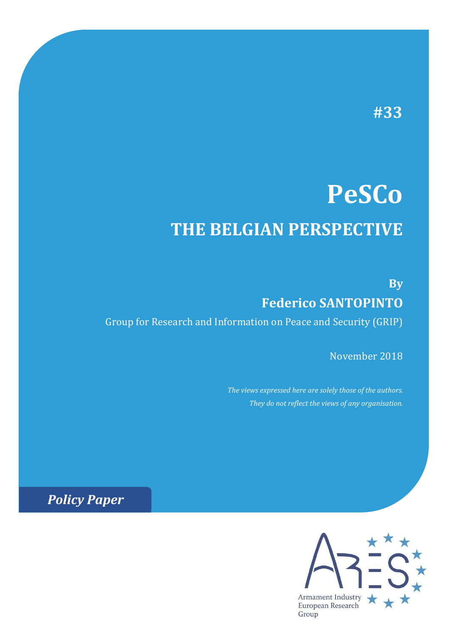# **#33**

# **PeSCo THE BELGIAN PERSPECTIVE**

**By Federico SANTOPINTO** Group for Research and Information on Peace and Security (GRIP)

November 2018

*The views expressed here are solely those of the authors. They do not reflect the views of any organisation.*

*Policy Paper*

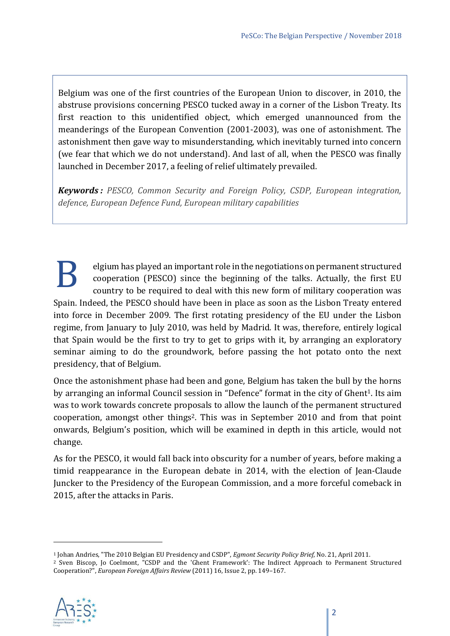Belgium was one of the first countries of the European Union to discover, in 2010, the abstruse provisions concerning PESCO tucked away in a corner of the Lisbon Treaty. Its first reaction to this unidentified object, which emerged unannounced from the meanderings of the European Convention (2001-2003), was one of astonishment. The astonishment then gave way to misunderstanding, which inevitably turned into concern (we fear that which we do not understand). And last of all, when the PESCO was finally launched in December 2017, a feeling of relief ultimately prevailed.

*Keywords : PESCO, Common Security and Foreign Policy, CSDP, European integration, defence, European Defence Fund, European military capabilities*

elgium has played an important role in the negotiations on permanent structured cooperation (PESCO) since the beginning of the talks. Actually, the first EU country to be required to deal with this new form of military cooperation was Spain. Indeed, the PESCO should have been in place as soon as the Lisbon Treaty entered into force in December 2009. The first rotating presidency of the EU under the Lisbon regime, from January to July 2010, was held by Madrid. It was, therefore, entirely logical that Spain would be the first to try to get to grips with it, by arranging an exploratory seminar aiming to do the groundwork, before passing the hot potato onto the next presidency, that of Belgium. B

Once the astonishment phase had been and gone, Belgium has taken the bull by the horns by arranging an informal Council session in "Defence" format in the city of Ghent<sup>1</sup>. Its aim was to work towards concrete proposals to allow the launch of the permanent structured cooperation, amongst other things2. This was in September 2010 and from that point onwards, Belgium's position, which will be examined in depth in this article, would not change.

As for the PESCO, it would fall back into obscurity for a number of years, before making a timid reappearance in the European debate in 2014, with the election of Jean-Claude Juncker to the Presidency of the European Commission, and a more forceful comeback in 2015, after the attacks in Paris.

<sup>&</sup>lt;sup>1</sup> Johan Andries, "The 2010 Belgian EU Presidency and CSDP", *Egmont Security Policy Brief*, No. 21, April 2011.<br><sup>2</sup> Sven Biscop, Jo Coelmont, "CSDP and the 'Ghent Framework': The Indirect Approach to Permanent Structured Cooperation?", *European Foreign Affairs Review* (2011) 16, Issue 2, pp. 149–167.

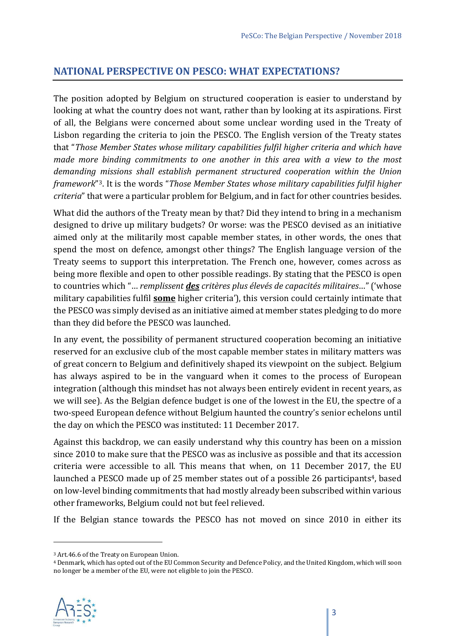#### **NATIONAL PERSPECTIVE ON PESCO: WHAT EXPECTATIONS?**

The position adopted by Belgium on structured cooperation is easier to understand by looking at what the country does not want, rather than by looking at its aspirations. First of all, the Belgians were concerned about some unclear wording used in the Treaty of Lisbon regarding the criteria to join the PESCO. The English version of the Treaty states that "*Those Member States whose military capabilities fulfil higher criteria and which have made more binding commitments to one another in this area with a view to the most demanding missions shall establish permanent structured cooperation within the Union framework*"3. It is the words "*Those Member States whose military capabilities fulfil higher criteria*" that were a particular problem for Belgium, and in fact for other countries besides.

What did the authors of the Treaty mean by that? Did they intend to bring in a mechanism designed to drive up military budgets? Or worse: was the PESCO devised as an initiative aimed only at the militarily most capable member states, in other words, the ones that spend the most on defence, amongst other things? The English language version of the Treaty seems to support this interpretation. The French one, however, comes across as being more flexible and open to other possible readings. By stating that the PESCO is open to countries which "… *remplissent des critères plus élevés de capacités militaires*…" ('whose military capabilities fulfil **some** higher criteria'), this version could certainly intimate that the PESCO was simply devised as an initiative aimed at member states pledging to do more than they did before the PESCO was launched.

In any event, the possibility of permanent structured cooperation becoming an initiative reserved for an exclusive club of the most capable member states in military matters was of great concern to Belgium and definitively shaped its viewpoint on the subject. Belgium has always aspired to be in the vanguard when it comes to the process of European integration (although this mindset has not always been entirely evident in recent years, as we will see). As the Belgian defence budget is one of the lowest in the EU, the spectre of a two-speed European defence without Belgium haunted the country's senior echelons until the day on which the PESCO was instituted: 11 December 2017.

Against this backdrop, we can easily understand why this country has been on a mission since 2010 to make sure that the PESCO was as inclusive as possible and that its accession criteria were accessible to all. This means that when, on 11 December 2017, the EU launched a PESCO made up of 25 member states out of a possible 26 participants<sup>4</sup>, based on low-level binding commitments that had mostly already been subscribed within various other frameworks, Belgium could not but feel relieved.

If the Belgian stance towards the PESCO has not moved on since 2010 in either its

<sup>4</sup> Denmark, which has opted out of the EU Common Security and Defence Policy, and the United Kingdom, which will soon no longer be a member of the EU, were not eligible to join the PESCO.



<sup>3</sup> Art.46.6 of the Treaty on European Union.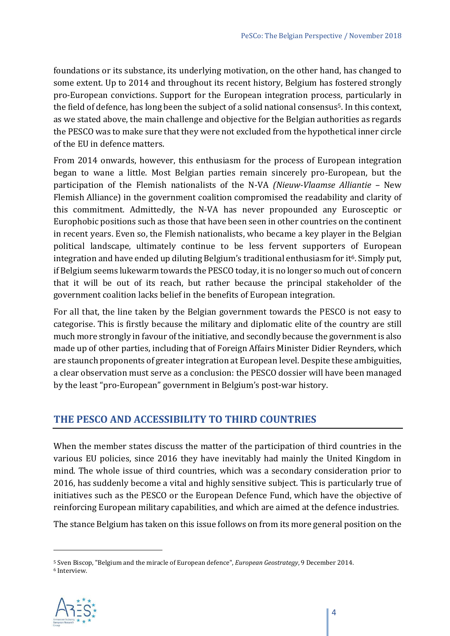foundations or its substance, its underlying motivation, on the other hand, has changed to some extent. Up to 2014 and throughout its recent history, Belgium has fostered strongly pro-European convictions. Support for the European integration process, particularly in the field of defence, has long been the subject of a solid national consensus<sup>5</sup>. In this context, as we stated above, the main challenge and objective for the Belgian authorities as regards the PESCO was to make sure that they were not excluded from the hypothetical inner circle of the EU in defence matters.

From 2014 onwards, however, this enthusiasm for the process of European integration began to wane a little. Most Belgian parties remain sincerely pro-European, but the participation of the Flemish nationalists of the N-VA *(Nieuw‐Vlaamse Alliantie* – New Flemish Alliance) in the government coalition compromised the readability and clarity of this commitment. Admittedly, the N-VA has never propounded any Eurosceptic or Europhobic positions such as those that have been seen in other countries on the continent in recent years. Even so, the Flemish nationalists, who became a key player in the Belgian political landscape, ultimately continue to be less fervent supporters of European integration and have ended up diluting Belgium's traditional enthusiasm for it<sup>6</sup>. Simply put, if Belgium seems lukewarm towards the PESCO today, it is no longer so much out of concern that it will be out of its reach, but rather because the principal stakeholder of the government coalition lacks belief in the benefits of European integration.

For all that, the line taken by the Belgian government towards the PESCO is not easy to categorise. This is firstly because the military and diplomatic elite of the country are still much more strongly in favour of the initiative, and secondly because the government is also made up of other parties, including that of Foreign Affairs Minister Didier Reynders, which are staunch proponents of greater integration at European level. Despite these ambiguities, a clear observation must serve as a conclusion: the PESCO dossier will have been managed by the least "pro-European" government in Belgium's post-war history.

#### **THE PESCO AND ACCESSIBILITY TO THIRD COUNTRIES**

When the member states discuss the matter of the participation of third countries in the various EU policies, since 2016 they have inevitably had mainly the United Kingdom in mind. The whole issue of third countries, which was a secondary consideration prior to 2016, has suddenly become a vital and highly sensitive subject. This is particularly true of initiatives such as the PESCO or the European Defence Fund, which have the objective of reinforcing European military capabilities, and which are aimed at the defence industries.

The stance Belgium has taken on this issue follows on from its more general position on the

<sup>5</sup> Sven Biscop, "Belgium and the miracle of European defence", *European Geostrategy*, 9 December 2014. 6 Interview.

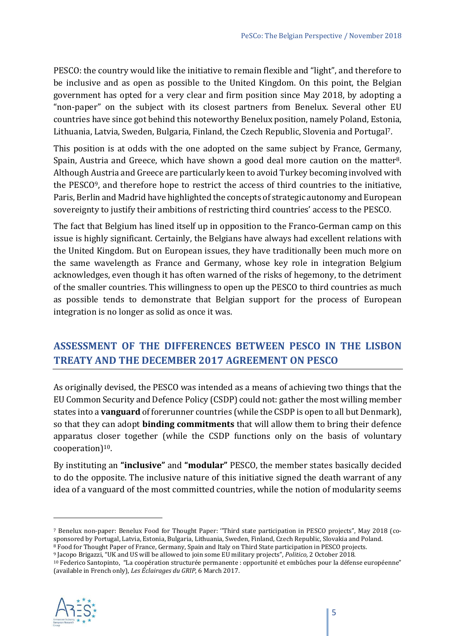PESCO: the country would like the initiative to remain flexible and "light", and therefore to be inclusive and as open as possible to the United Kingdom. On this point, the Belgian government has opted for a very clear and firm position since May 2018, by adopting a "non-paper" on the subject with its closest partners from Benelux. Several other EU countries have since got behind this noteworthy Benelux position, namely Poland, Estonia, Lithuania, Latvia, Sweden, Bulgaria, Finland, the Czech Republic, Slovenia and Portugal7.

This position is at odds with the one adopted on the same subject by France, Germany, Spain, Austria and Greece, which have shown a good deal more caution on the matter<sup>8</sup>. Although Austria and Greece are particularly keen to avoid Turkey becoming involved with the PESCO9, and therefore hope to restrict the access of third countries to the initiative, Paris, Berlin and Madrid have highlighted the concepts of strategic autonomy and European sovereignty to justify their ambitions of restricting third countries' access to the PESCO.

The fact that Belgium has lined itself up in opposition to the Franco-German camp on this issue is highly significant. Certainly, the Belgians have always had excellent relations with the United Kingdom. But on European issues, they have traditionally been much more on the same wavelength as France and Germany, whose key role in integration Belgium acknowledges, even though it has often warned of the risks of hegemony, to the detriment of the smaller countries. This willingness to open up the PESCO to third countries as much as possible tends to demonstrate that Belgian support for the process of European integration is no longer as solid as once it was.

# **ASSESSMENT OF THE DIFFERENCES BETWEEN PESCO IN THE LISBON TREATY AND THE DECEMBER 2017 AGREEMENT ON PESCO**

As originally devised, the PESCO was intended as a means of achieving two things that the EU Common Security and Defence Policy (CSDP) could not: gather the most willing member states into a **vanguard** of forerunner countries (while the CSDP is open to all but Denmark), so that they can adopt **binding commitments** that will allow them to bring their defence apparatus closer together (while the CSDP functions only on the basis of voluntary cooperation)10.

By instituting an **"inclusive"** and **"modular"** PESCO, the member states basically decided to do the opposite. The inclusive nature of this initiative signed the death warrant of any idea of a vanguard of the most committed countries, while the notion of modularity seems

<sup>(</sup>available in French only), *Les Éclairages du GRIP*, 6 March 2017.



<sup>7</sup> Benelux non-paper: Benelux Food for Thought Paper: ''Third state participation in PESCO projects", May 2018 (cosponsored by Portugal, Latvia, Estonia, Bulgaria, Lithuania, Sweden, Finland, Czech Republic, Slovakia and Poland.<br><sup>8</sup> Food for Thought Paper of France, Germany, Spain and Italy on Third State participation in PESCO projec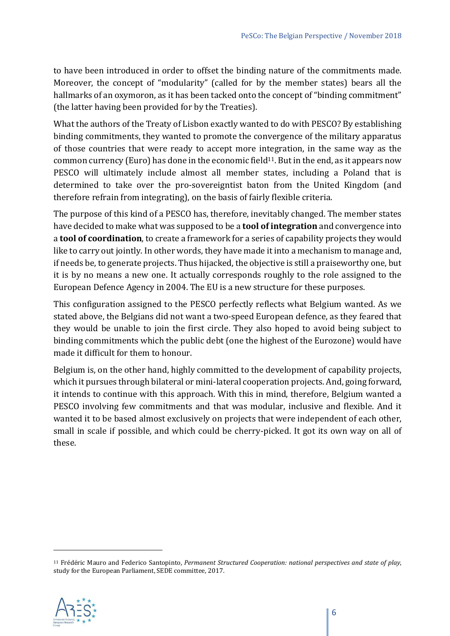to have been introduced in order to offset the binding nature of the commitments made. Moreover, the concept of "modularity" (called for by the member states) bears all the hallmarks of an oxymoron, as it has been tacked onto the concept of "binding commitment" (the latter having been provided for by the Treaties).

What the authors of the Treaty of Lisbon exactly wanted to do with PESCO? By establishing binding commitments, they wanted to promote the convergence of the military apparatus of those countries that were ready to accept more integration, in the same way as the common currency (Euro) has done in the economic field<sup>11</sup>. But in the end, as it appears now PESCO will ultimately include almost all member states, including a Poland that is determined to take over the pro-sovereigntist baton from the United Kingdom (and therefore refrain from integrating), on the basis of fairly flexible criteria.

The purpose of this kind of a PESCO has, therefore, inevitably changed. The member states have decided to make what was supposed to be a **tool of integration** and convergence into a **tool of coordination**, to create a framework for a series of capability projects they would like to carry out jointly. In other words, they have made it into a mechanism to manage and, if needs be, to generate projects. Thus hijacked, the objective is still a praiseworthy one, but it is by no means a new one. It actually corresponds roughly to the role assigned to the European Defence Agency in 2004. The EU is a new structure for these purposes.

This configuration assigned to the PESCO perfectly reflects what Belgium wanted. As we stated above, the Belgians did not want a two-speed European defence, as they feared that they would be unable to join the first circle. They also hoped to avoid being subject to binding commitments which the public debt (one the highest of the Eurozone) would have made it difficult for them to honour.

Belgium is, on the other hand, highly committed to the development of capability projects, which it pursues through bilateral or mini-lateral cooperation projects. And, going forward, it intends to continue with this approach. With this in mind, therefore, Belgium wanted a PESCO involving few commitments and that was modular, inclusive and flexible. And it wanted it to be based almost exclusively on projects that were independent of each other, small in scale if possible, and which could be cherry-picked. It got its own way on all of these.

<sup>11</sup> Frédéric Mauro and Federico Santopinto, *Permanent Structured Cooperation: national perspectives and state of play*, study for the European Parliament, SEDE committee, 2017.

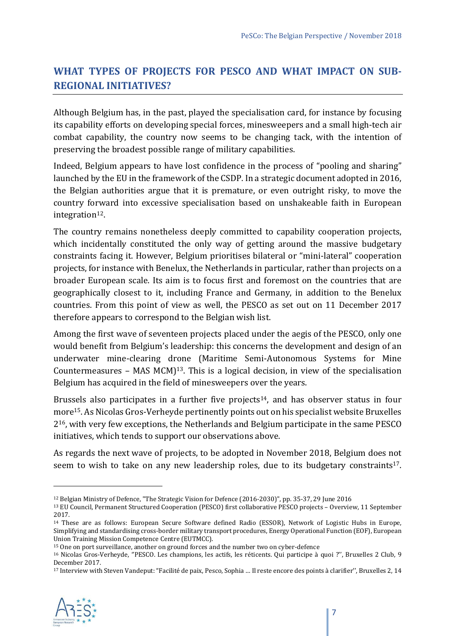# **WHAT TYPES OF PROJECTS FOR PESCO AND WHAT IMPACT ON SUB‐ REGIONAL INITIATIVES?**

Although Belgium has, in the past, played the specialisation card, for instance by focusing its capability efforts on developing special forces, minesweepers and a small high-tech air combat capability, the country now seems to be changing tack, with the intention of preserving the broadest possible range of military capabilities.

Indeed, Belgium appears to have lost confidence in the process of "pooling and sharing" launched by the EU in the framework of the CSDP. In a strategic document adopted in 2016, the Belgian authorities argue that it is premature, or even outright risky, to move the country forward into excessive specialisation based on unshakeable faith in European integration<sup>12</sup>.

The country remains nonetheless deeply committed to capability cooperation projects, which incidentally constituted the only way of getting around the massive budgetary constraints facing it. However, Belgium prioritises bilateral or "mini-lateral" cooperation projects, for instance with Benelux, the Netherlands in particular, rather than projects on a broader European scale. Its aim is to focus first and foremost on the countries that are geographically closest to it, including France and Germany, in addition to the Benelux countries. From this point of view as well, the PESCO as set out on 11 December 2017 therefore appears to correspond to the Belgian wish list.

Among the first wave of seventeen projects placed under the aegis of the PESCO, only one would benefit from Belgium's leadership: this concerns the development and design of an underwater mine-clearing drone (Maritime Semi-Autonomous Systems for Mine Countermeasures – MAS MCM $]$ <sup>13</sup>. This is a logical decision, in view of the specialisation Belgium has acquired in the field of minesweepers over the years.

Brussels also participates in a further five projects<sup>14</sup>, and has observer status in four more15. As Nicolas Gros-Verheyde pertinently points out on his specialist website Bruxelles 216, with very few exceptions, the Netherlands and Belgium participate in the same PESCO initiatives, which tends to support our observations above.

As regards the next wave of projects, to be adopted in November 2018, Belgium does not seem to wish to take on any new leadership roles, due to its budgetary constraints<sup>17</sup>.

<sup>17</sup> Interview with Steven Vandeput: "Facilité de paix, Pesco, Sophia … Il reste encore des points à clarifier'', Bruxelles 2, 14



<sup>&</sup>lt;sup>12</sup> Belgian Ministry of Defence, "The Strategic Vision for Defence (2016-2030)", pp. 35-37, 29 June 2016<br><sup>13</sup> EU Council, Permanent Structured Cooperation (PESCO) first collaborative PESCO projects – Overview, 11 Septembe 2017.

<sup>14</sup> These are as follows: European Secure Software defined Radio (ESSOR), Network of Logistic Hubs in Europe, Simplifying and standardising cross-border military transport procedures, Energy Operational Function (EOF), European Union Training Mission Competence Centre (EUTMCC).

<sup>&</sup>lt;sup>15</sup> One on port surveillance, another on ground forces and the number two on cyber-defence<br><sup>16</sup> Nicolas Gros-Verheyde, "PESCO. Les champions, les actifs, les réticents. Qui participe à quoi ?", Bruxelles 2 Club, 9 December 2017.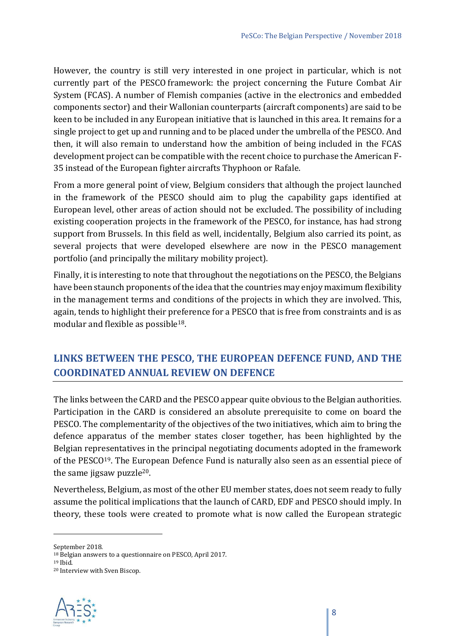However, the country is still very interested in one project in particular, which is not currently part of the PESCO framework: the project concerning the Future Combat Air System (FCAS). A number of Flemish companies (active in the electronics and embedded components sector) and their Wallonian counterparts (aircraft components) are said to be keen to be included in any European initiative that is launched in this area. It remains for a single project to get up and running and to be placed under the umbrella of the PESCO. And then, it will also remain to understand how the ambition of being included in the FCAS development project can be compatible with the recent choice to purchase the American F-35 instead of the European fighter aircrafts Thyphoon or Rafale.

From a more general point of view, Belgium considers that although the project launched in the framework of the PESCO should aim to plug the capability gaps identified at European level, other areas of action should not be excluded. The possibility of including existing cooperation projects in the framework of the PESCO, for instance, has had strong support from Brussels. In this field as well, incidentally, Belgium also carried its point, as several projects that were developed elsewhere are now in the PESCO management portfolio (and principally the military mobility project).

Finally, it is interesting to note that throughout the negotiations on the PESCO, the Belgians have been staunch proponents of the idea that the countries may enjoy maximum flexibility in the management terms and conditions of the projects in which they are involved. This, again, tends to highlight their preference for a PESCO that is free from constraints and is as modular and flexible as possible18.

### **LINKS BETWEEN THE PESCO, THE EUROPEAN DEFENCE FUND, AND THE COORDINATED ANNUAL REVIEW ON DEFENCE**

The links between the CARD and the PESCO appear quite obvious to the Belgian authorities. Participation in the CARD is considered an absolute prerequisite to come on board the PESCO. The complementarity of the objectives of the two initiatives, which aim to bring the defence apparatus of the member states closer together, has been highlighted by the Belgian representatives in the principal negotiating documents adopted in the framework of the PESCO19. The European Defence Fund is naturally also seen as an essential piece of the same jigsaw puzzle<sup>20</sup>.

Nevertheless, Belgium, as most of the other EU member states, does not seem ready to fully assume the political implications that the launch of CARD, EDF and PESCO should imply. In theory, these tools were created to promote what is now called the European strategic

<sup>20</sup> Interview with Sven Biscop.



September 2018.

<sup>18</sup> Belgian answers to a questionnaire on PESCO, April 2017. 19 Ibid.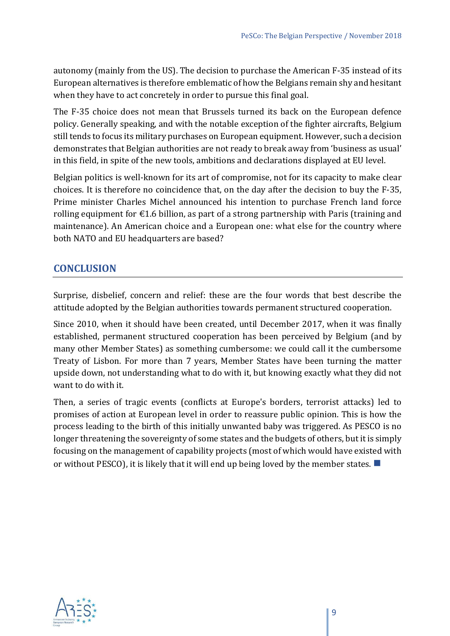autonomy (mainly from the US). The decision to purchase the American F-35 instead of its European alternatives is therefore emblematic of how the Belgians remain shy and hesitant when they have to act concretely in order to pursue this final goal.

The F-35 choice does not mean that Brussels turned its back on the European defence policy. Generally speaking, and with the notable exception of the fighter aircrafts, Belgium still tends to focus its military purchases on European equipment. However, such a decision demonstrates that Belgian authorities are not ready to break away from 'business as usual' in this field, in spite of the new tools, ambitions and declarations displayed at EU level.

Belgian politics is well-known for its art of compromise, not for its capacity to make clear choices. It is therefore no coincidence that, on the day after the decision to buy the F-35, Prime minister Charles Michel announced his intention to purchase French land force rolling equipment for  $\epsilon$ 1.6 billion, as part of a strong partnership with Paris (training and maintenance). An American choice and a European one: what else for the country where both NATO and EU headquarters are based?

#### **CONCLUSION**

Surprise, disbelief, concern and relief: these are the four words that best describe the attitude adopted by the Belgian authorities towards permanent structured cooperation.

Since 2010, when it should have been created, until December 2017, when it was finally established, permanent structured cooperation has been perceived by Belgium (and by many other Member States) as something cumbersome: we could call it the cumbersome Treaty of Lisbon. For more than 7 years, Member States have been turning the matter upside down, not understanding what to do with it, but knowing exactly what they did not want to do with it.

Then, a series of tragic events (conflicts at Europe's borders, terrorist attacks) led to promises of action at European level in order to reassure public opinion. This is how the process leading to the birth of this initially unwanted baby was triggered. As PESCO is no longer threatening the sovereignty of some states and the budgets of others, but it is simply focusing on the management of capability projects (most of which would have existed with or without PESCO), it is likely that it will end up being loved by the member states.  $\blacksquare$